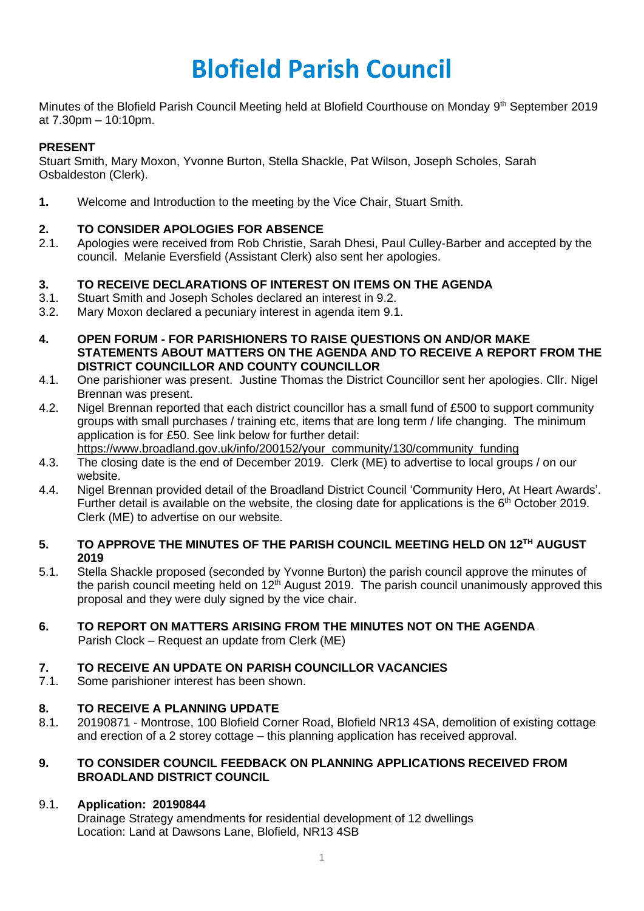# **Blofield Parish Council**

Minutes of the Blofield Parish Council Meeting held at Blofield Courthouse on Monday 9<sup>th</sup> September 2019 at 7.30pm – 10:10pm.

## **PRESENT**

Stuart Smith, Mary Moxon, Yvonne Burton, Stella Shackle, Pat Wilson, Joseph Scholes, Sarah Osbaldeston (Clerk).

**1.** Welcome and Introduction to the meeting by the Vice Chair, Stuart Smith.

## **2. TO CONSIDER APOLOGIES FOR ABSENCE**

2.1. Apologies were received from Rob Christie, Sarah Dhesi, Paul Culley-Barber and accepted by the council. Melanie Eversfield (Assistant Clerk) also sent her apologies.

## **3. TO RECEIVE DECLARATIONS OF INTEREST ON ITEMS ON THE AGENDA**

- 3.1. Stuart Smith and Joseph Scholes declared an interest in 9.2.
- 3.2. Mary Moxon declared a pecuniary interest in agenda item 9.1.
- **4. OPEN FORUM - FOR PARISHIONERS TO RAISE QUESTIONS ON AND/OR MAKE STATEMENTS ABOUT MATTERS ON THE AGENDA AND TO RECEIVE A REPORT FROM THE DISTRICT COUNCILLOR AND COUNTY COUNCILLOR**
- 4.1. One parishioner was present. Justine Thomas the District Councillor sent her apologies. Cllr. Nigel Brennan was present.
- 4.2. Nigel Brennan reported that each district councillor has a small fund of £500 to support community groups with small purchases / training etc, items that are long term / life changing. The minimum application is for £50. See link below for further detail: [https://www.broadland.gov.uk/info/200152/your\\_community/130/community\\_funding](https://www.broadland.gov.uk/info/200152/your_community/130/community_funding)
- 4.3. The closing date is the end of December 2019. Clerk (ME) to advertise to local groups / on our website.
- 4.4. Nigel Brennan provided detail of the Broadland District Council 'Community Hero, At Heart Awards'. Further detail is available on the website, the closing date for applications is the  $6<sup>th</sup>$  October 2019. Clerk (ME) to advertise on our website.

## 5. TO APPROVE THE MINUTES OF THE PARISH COUNCIL MEETING HELD ON 12<sup>TH</sup> AUGUST **2019**

- 5.1. Stella Shackle proposed (seconded by Yvonne Burton) the parish council approve the minutes of the parish council meeting held on  $12<sup>th</sup>$  August 2019. The parish council unanimously approved this proposal and they were duly signed by the vice chair.
- **6. TO REPORT ON MATTERS ARISING FROM THE MINUTES NOT ON THE AGENDA** Parish Clock – Request an update from Clerk (ME)

## **7. TO RECEIVE AN UPDATE ON PARISH COUNCILLOR VACANCIES**

7.1. Some parishioner interest has been shown.

## **8. TO RECEIVE A PLANNING UPDATE**

8.1. 20190871 - Montrose, 100 Blofield Corner Road, Blofield NR13 4SA, demolition of existing cottage and erection of a 2 storey cottage – this planning application has received approval.

## **9. TO CONSIDER COUNCIL FEEDBACK ON PLANNING APPLICATIONS RECEIVED FROM BROADLAND DISTRICT COUNCIL**

## 9.1. **Application: 20190844**

Drainage Strategy amendments for residential development of 12 dwellings Location: Land at Dawsons Lane, Blofield, NR13 4SB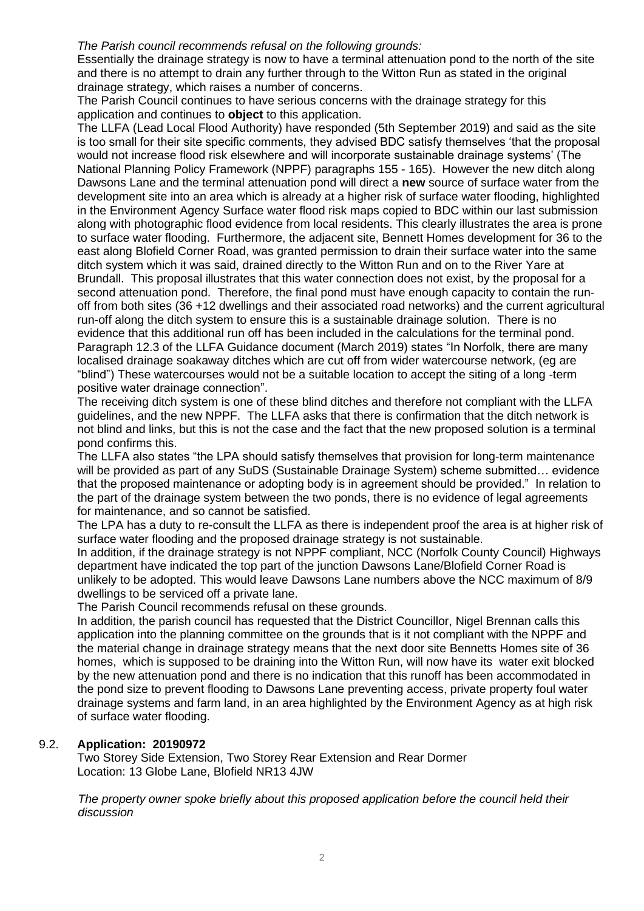#### *The Parish council recommends refusal on the following grounds:*

Essentially the drainage strategy is now to have a terminal attenuation pond to the north of the site and there is no attempt to drain any further through to the Witton Run as stated in the original drainage strategy, which raises a number of concerns.

The Parish Council continues to have serious concerns with the drainage strategy for this application and continues to **object** to this application.

The LLFA (Lead Local Flood Authority) have responded (5th September 2019) and said as the site is too small for their site specific comments, they advised BDC satisfy themselves 'that the proposal would not increase flood risk elsewhere and will incorporate sustainable drainage systems' (The National Planning Policy Framework (NPPF) paragraphs 155 - 165). However the new ditch along Dawsons Lane and the terminal attenuation pond will direct a **new** source of surface water from the development site into an area which is already at a higher risk of surface water flooding, highlighted in the Environment Agency Surface water flood risk maps copied to BDC within our last submission along with photographic flood evidence from local residents. This clearly illustrates the area is prone to surface water flooding. Furthermore, the adjacent site, Bennett Homes development for 36 to the east along Blofield Corner Road, was granted permission to drain their surface water into the same ditch system which it was said, drained directly to the Witton Run and on to the River Yare at Brundall. This proposal illustrates that this water connection does not exist, by the proposal for a second attenuation pond. Therefore, the final pond must have enough capacity to contain the runoff from both sites (36 +12 dwellings and their associated road networks) and the current agricultural run-off along the ditch system to ensure this is a sustainable drainage solution. There is no evidence that this additional run off has been included in the calculations for the terminal pond. Paragraph 12.3 of the LLFA Guidance document (March 2019) states "In Norfolk, there are many localised drainage soakaway ditches which are cut off from wider watercourse network, (eg are "blind") These watercourses would not be a suitable location to accept the siting of a long -term positive water drainage connection".

The receiving ditch system is one of these blind ditches and therefore not compliant with the LLFA guidelines, and the new NPPF. The LLFA asks that there is confirmation that the ditch network is not blind and links, but this is not the case and the fact that the new proposed solution is a terminal pond confirms this.

The LLFA also states "the LPA should satisfy themselves that provision for long-term maintenance will be provided as part of any SuDS (Sustainable Drainage System) scheme submitted… evidence that the proposed maintenance or adopting body is in agreement should be provided." In relation to the part of the drainage system between the two ponds, there is no evidence of legal agreements for maintenance, and so cannot be satisfied.

The LPA has a duty to re-consult the LLFA as there is independent proof the area is at higher risk of surface water flooding and the proposed drainage strategy is not sustainable.

In addition, if the drainage strategy is not NPPF compliant, NCC (Norfolk County Council) Highways department have indicated the top part of the junction Dawsons Lane/Blofield Corner Road is unlikely to be adopted. This would leave Dawsons Lane numbers above the NCC maximum of 8/9 dwellings to be serviced off a private lane.

The Parish Council recommends refusal on these grounds.

In addition, the parish council has requested that the District Councillor, Nigel Brennan calls this application into the planning committee on the grounds that is it not compliant with the NPPF and the material change in drainage strategy means that the next door site Bennetts Homes site of 36 homes, which is supposed to be draining into the Witton Run, will now have its water exit blocked by the new attenuation pond and there is no indication that this runoff has been accommodated in the pond size to prevent flooding to Dawsons Lane preventing access, private property foul water drainage systems and farm land, in an area highlighted by the Environment Agency as at high risk of surface water flooding.

## 9.2. **Application: 20190972**

Two Storey Side Extension, Two Storey Rear Extension and Rear Dormer Location: 13 Globe Lane, Blofield NR13 4JW

*The property owner spoke briefly about this proposed application before the council held their discussion*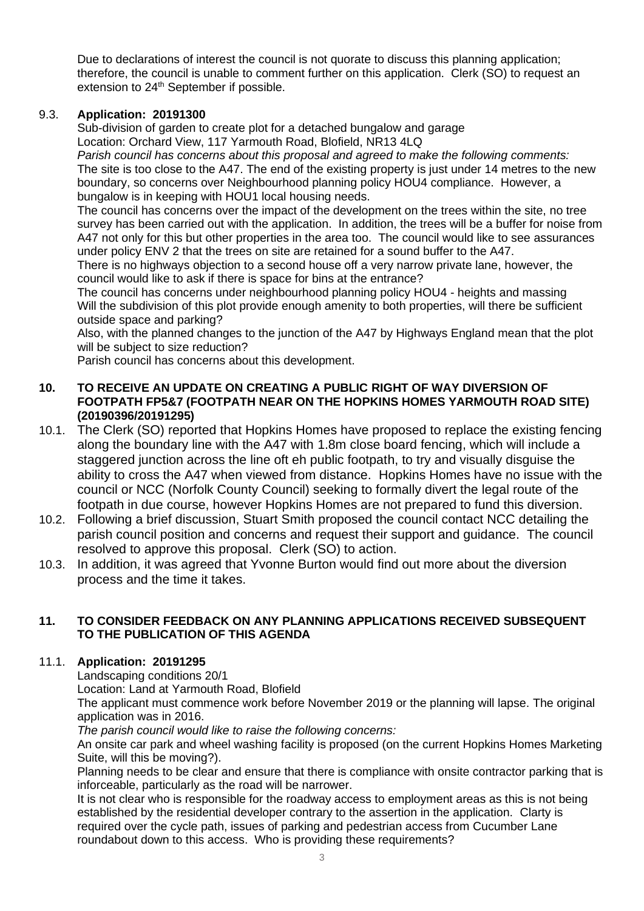Due to declarations of interest the council is not quorate to discuss this planning application; therefore, the council is unable to comment further on this application. Clerk (SO) to request an extension to 24<sup>th</sup> September if possible.

## 9.3. **Application: 20191300**

Sub-division of garden to create plot for a detached bungalow and garage Location: Orchard View, 117 Yarmouth Road, Blofield, NR13 4LQ

*Parish council has concerns about this proposal and agreed to make the following comments:* The site is too close to the A47. The end of the existing property is just under 14 metres to the new boundary, so concerns over Neighbourhood planning policy HOU4 compliance. However, a bungalow is in keeping with HOU1 local housing needs.

The council has concerns over the impact of the development on the trees within the site, no tree survey has been carried out with the application. In addition, the trees will be a buffer for noise from A47 not only for this but other properties in the area too. The council would like to see assurances under policy ENV 2 that the trees on site are retained for a sound buffer to the A47.

There is no highways objection to a second house off a very narrow private lane, however, the council would like to ask if there is space for bins at the entrance?

The council has concerns under neighbourhood planning policy HOU4 - heights and massing Will the subdivision of this plot provide enough amenity to both properties, will there be sufficient outside space and parking?

Also, with the planned changes to the junction of the A47 by Highways England mean that the plot will be subject to size reduction?

Parish council has concerns about this development.

## **10. TO RECEIVE AN UPDATE ON CREATING A PUBLIC RIGHT OF WAY DIVERSION OF FOOTPATH FP5&7 (FOOTPATH NEAR ON THE HOPKINS HOMES YARMOUTH ROAD SITE) (20190396/20191295)**

- 10.1. The Clerk (SO) reported that Hopkins Homes have proposed to replace the existing fencing along the boundary line with the A47 with 1.8m close board fencing, which will include a staggered junction across the line oft eh public footpath, to try and visually disguise the ability to cross the A47 when viewed from distance. Hopkins Homes have no issue with the council or NCC (Norfolk County Council) seeking to formally divert the legal route of the footpath in due course, however Hopkins Homes are not prepared to fund this diversion.
- 10.2. Following a brief discussion, Stuart Smith proposed the council contact NCC detailing the parish council position and concerns and request their support and guidance. The council resolved to approve this proposal. Clerk (SO) to action.
- 10.3. In addition, it was agreed that Yvonne Burton would find out more about the diversion process and the time it takes.

## **11. TO CONSIDER FEEDBACK ON ANY PLANNING APPLICATIONS RECEIVED SUBSEQUENT TO THE PUBLICATION OF THIS AGENDA**

## 11.1. **Application: 20191295**

Landscaping conditions 20/1

Location: Land at Yarmouth Road, Blofield

The applicant must commence work before November 2019 or the planning will lapse. The original application was in 2016.

*The parish council would like to raise the following concerns:*

An onsite car park and wheel washing facility is proposed (on the current Hopkins Homes Marketing Suite, will this be moving?).

Planning needs to be clear and ensure that there is compliance with onsite contractor parking that is inforceable, particularly as the road will be narrower.

It is not clear who is responsible for the roadway access to employment areas as this is not being established by the residential developer contrary to the assertion in the application. Clarty is required over the cycle path, issues of parking and pedestrian access from Cucumber Lane roundabout down to this access. Who is providing these requirements?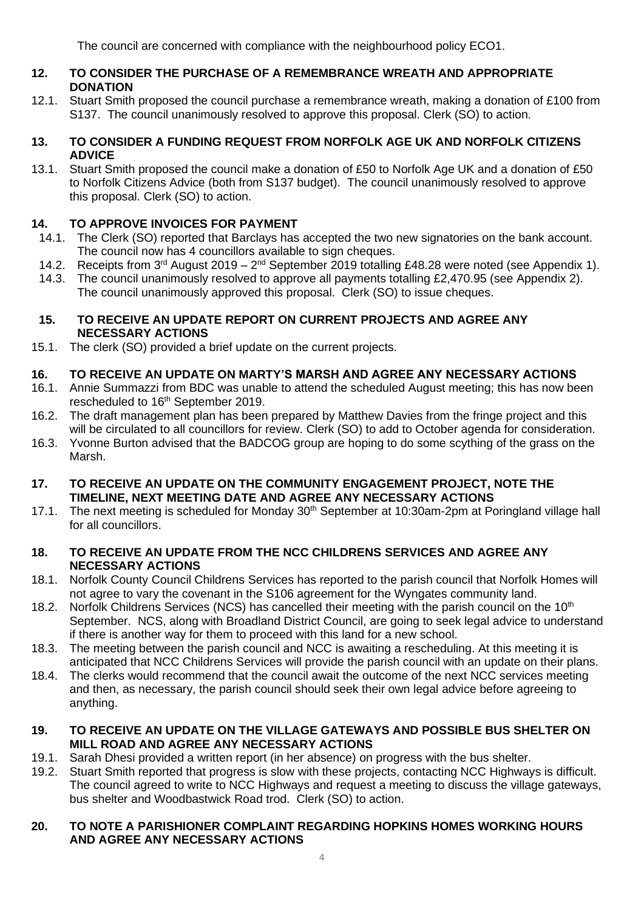The council are concerned with compliance with the neighbourhood policy ECO1.

## **12. TO CONSIDER THE PURCHASE OF A REMEMBRANCE WREATH AND APPROPRIATE DONATION**

12.1. Stuart Smith proposed the council purchase a remembrance wreath, making a donation of £100 from S137. The council unanimously resolved to approve this proposal. Clerk (SO) to action.

## **13. TO CONSIDER A FUNDING REQUEST FROM NORFOLK AGE UK AND NORFOLK CITIZENS ADVICE**

13.1. Stuart Smith proposed the council make a donation of £50 to Norfolk Age UK and a donation of £50 to Norfolk Citizens Advice (both from S137 budget). The council unanimously resolved to approve this proposal. Clerk (SO) to action.

## **14. TO APPROVE INVOICES FOR PAYMENT**

- 14.1. The Clerk (SO) reported that Barclays has accepted the two new signatories on the bank account. The council now has 4 councillors available to sign cheques.
- 14.2. Receipts from  $3^{\text{rd}}$  August 2019  $2^{\text{nd}}$  September 2019 totalling £48.28 were noted (see Appendix 1).
- 14.3. The council unanimously resolved to approve all payments totalling £2,470.95 (see Appendix 2). The council unanimously approved this proposal. Clerk (SO) to issue cheques.

## **15. TO RECEIVE AN UPDATE REPORT ON CURRENT PROJECTS AND AGREE ANY NECESSARY ACTIONS**

15.1. The clerk (SO) provided a brief update on the current projects.

## **16. TO RECEIVE AN UPDATE ON MARTY'S MARSH AND AGREE ANY NECESSARY ACTIONS**

- 16.1. Annie Summazzi from BDC was unable to attend the scheduled August meeting; this has now been rescheduled to 16<sup>th</sup> September 2019.
- 16.2. The draft management plan has been prepared by Matthew Davies from the fringe project and this will be circulated to all councillors for review. Clerk (SO) to add to October agenda for consideration.
- 16.3. Yvonne Burton advised that the BADCOG group are hoping to do some scything of the grass on the Marsh.

## **17. TO RECEIVE AN UPDATE ON THE COMMUNITY ENGAGEMENT PROJECT, NOTE THE TIMELINE, NEXT MEETING DATE AND AGREE ANY NECESSARY ACTIONS**

17.1. The next meeting is scheduled for Monday 30<sup>th</sup> September at 10:30am-2pm at Poringland village hall for all councillors.

## **18. TO RECEIVE AN UPDATE FROM THE NCC CHILDRENS SERVICES AND AGREE ANY NECESSARY ACTIONS**

- 18.1. Norfolk County Council Childrens Services has reported to the parish council that Norfolk Homes will not agree to vary the covenant in the S106 agreement for the Wyngates community land.
- 18.2. Norfolk Childrens Services (NCS) has cancelled their meeting with the parish council on the 10<sup>th</sup> September. NCS, along with Broadland District Council, are going to seek legal advice to understand if there is another way for them to proceed with this land for a new school.
- 18.3. The meeting between the parish council and NCC is awaiting a rescheduling. At this meeting it is anticipated that NCC Childrens Services will provide the parish council with an update on their plans.
- 18.4. The clerks would recommend that the council await the outcome of the next NCC services meeting and then, as necessary, the parish council should seek their own legal advice before agreeing to anything.

## **19. TO RECEIVE AN UPDATE ON THE VILLAGE GATEWAYS AND POSSIBLE BUS SHELTER ON MILL ROAD AND AGREE ANY NECESSARY ACTIONS**

- 19.1. Sarah Dhesi provided a written report (in her absence) on progress with the bus shelter.
- 19.2. Stuart Smith reported that progress is slow with these projects, contacting NCC Highways is difficult. The council agreed to write to NCC Highways and request a meeting to discuss the village gateways, bus shelter and Woodbastwick Road trod. Clerk (SO) to action.

## **20. TO NOTE A PARISHIONER COMPLAINT REGARDING HOPKINS HOMES WORKING HOURS AND AGREE ANY NECESSARY ACTIONS**